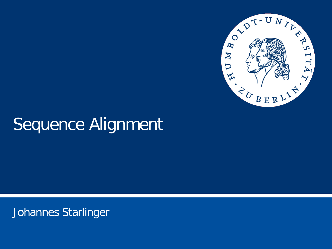

# Sequence Alignment

Johannes Starlinger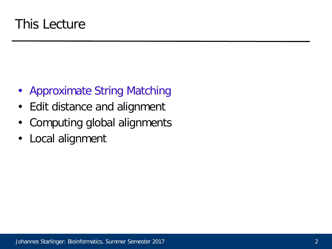- Approximate String Matching
- Edit distance and alignment
- Computing global alignments
- Local alignment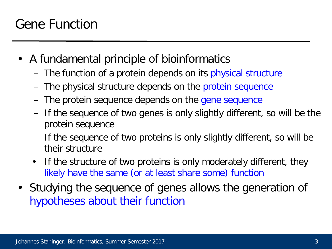- A fundamental principle of bioinformatics
	- The function of a protein depends on its physical structure
	- The physical structure depends on the protein sequence
	- The protein sequence depends on the gene sequence
	- If the sequence of two genes is only slightly different, so will be the protein sequence
	- If the sequence of two proteins is only slightly different, so will be their structure
	- If the structure of two proteins is only moderately different, they likely have the same (or at least share some) function
- Studying the sequence of genes allows the generation of hypotheses about their function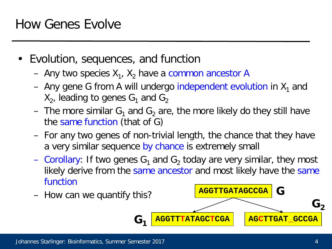- Evolution, sequences, and function
	- Any two species  $X_1$ ,  $X_2$  have a common ancestor A
	- Any gene G from A will undergo independent evolution in  $X_1$  and  $X_2$ , leading to genes  $G_1$  and  $G_2$
	- The more similar  $G_1$  and  $G_2$  are, the more likely do they still have the same function (that of G)
	- For any two genes of non-trivial length, the chance that they have a very similar sequence by chance is extremely small
	- Corollary: If two genes  $G_1$  and  $G_2$  today are very similar, they most likely derive from the same ancestor and most likely have the same function

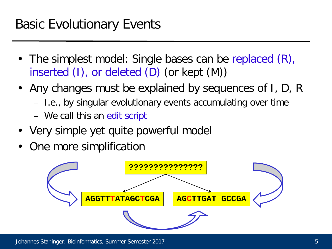- The simplest model: Single bases can be replaced (R), inserted (I), or deleted (D) (or kept (M))
- Any changes must be explained by sequences of I, D, R
	- I.e., by singular evolutionary events accumulating over time
	- We call this an edit script
- Very simple yet quite powerful model
- One more simplification

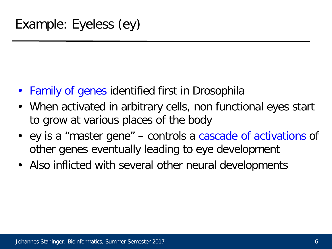- Family of genes identified first in Drosophila
- When activated in arbitrary cells, non functional eyes start to grow at various places of the body
- ey is a "master gene" controls a cascade of activations of other genes eventually leading to eye development
- Also inflicted with several other neural developments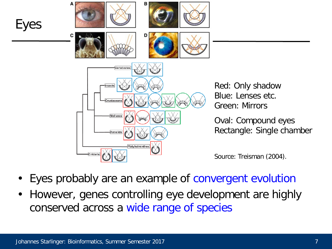

Red: Only shadow Blue: Lenses etc. Green: Mirrors

Oval: Compound eyes Rectangle: Single chamber

Source: Treisman (2004).

- Eyes probably are an example of convergent evolution
- However, genes controlling eye development are highly conserved across a wide range of species

Eyes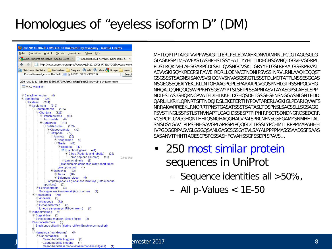## Homologues of "eyeless isoform D" (DM)

| C job: 201105063F73IVJY0G in UniProtKB by taxonomy - Mozilla Firefox                                                                                                                                                                                                                                                                                                                                                                        |                                                                                                                                                                                                                                                                                                                                                                                                                                                                                             |   |
|---------------------------------------------------------------------------------------------------------------------------------------------------------------------------------------------------------------------------------------------------------------------------------------------------------------------------------------------------------------------------------------------------------------------------------------------|---------------------------------------------------------------------------------------------------------------------------------------------------------------------------------------------------------------------------------------------------------------------------------------------------------------------------------------------------------------------------------------------------------------------------------------------------------------------------------------------|---|
| Datei Bearbeiten Ansicht Chronik Lesezeichen Extras Hilfe                                                                                                                                                                                                                                                                                                                                                                                   | MFTLQPTPTAIGTVVPPWSAGTLIERLPSLEDMAHKDNVIAMRNLPCLGTAGGSGLG                                                                                                                                                                                                                                                                                                                                                                                                                                   |   |
| eyeless uniprot drosophila - Google-Suche<br>iob:201105063F73IVJY0G in UniProtKB b X                                                                                                                                                                                                                                                                                                                                                        | GIAGKPSPTMEAVEASTASHPHSTSSYFATTYYHLTDDECHSGVNQLGGVFVGGRPL                                                                                                                                                                                                                                                                                                                                                                                                                                   |   |
| http://www.uniprot.org/uniprot/?query=job:201105063F73IVJY0G&by=taxonomy#<br><b>A</b> Meistbesuchte Seiten <b>Communist Produce Communist Produce</b> Congle [                                                                                                                                                                                                                                                                              | PDSTRQKIVELAHSGARPCDISRILQVSNGCVSKILGRYYETGSIRPRAIGGSKPRVAT                                                                                                                                                                                                                                                                                                                                                                                                                                 |   |
| <b>News</b><br>Protein Knowledgebase (UniProtKB) v     job:201105063F73IVJY0G<br>Search<br>229 results for job:201105063F73IVJY0G in UniProtKB browsing by taxonomy<br>View result list                                                                                                                                                                                                                                                     | AEVVSKISQYKRECPSIFAWEIRDRLLQENVCTNDNIPSVSSINRVLRNLAAQKEQQS<br>GSGSSSTSAGNSISAKVSVSIGGNVSNVASGSRGTLSSSTDLMQTATPLNSSESGGA<br>NSGEGSEQEAIYEKLRLLNTQHAAGPGPLEPARAAPLVGQSPNHLGTRSSHPQLVHG<br>NHQALQQHQQQSWPPRHYSGSWYPTSLSEIPISSAPNIASVTAYASGPSLAHSLSPP                                                                                                                                                                                                                                           |   |
| $\odot$ Ceractinomorpha (4)<br>⊖Eumetazoa (225)<br>Bilateria (224)<br>Coelomata (213)<br>⊖Deuterostomia (135)<br>⊖ Chordata (129)<br>⊕ Branchiostoma (10)<br>⊕ Urochordata<br>(8)<br>⊙Vertebrata (111)<br>Euteleostomi (109)<br>⊕ Clupeocephala<br>- (30)<br>⊙Tetrapoda (79)<br>Amniota (56)<br>⊙ Neognathae<br>(8)<br>$\odot$ Theria (48)                                                                                                  | NDIESLASIGHQRNCPVATEDIHLKKELDGHQSDETGSGEGENSNGGASNIGNTEDD<br>QARLILKRKLQRNRTSFTNDQIDSLEKEFERTHYPDVFARERLAGKIGLPEARIQVWF<br>NRRAKWRREEKLRNQRRTPNSTGASATSSSTSATASLTDSPNSLSACSSLLSGSAGG<br>PSVSTINGLSSPSTLSTNVNAPTLGAGIDSSESPTPIPHIRPSCTSDNDNGRQSEDCRI<br>VCSPCPLGVGGHQNTHHIQSNGHAQGHALVPAISPRLNFNSGSFGAMYSNMHHTAL<br>SMSDSYGAVTPIPSFNHSAVGPLAPPSPIPQQGDLTPSSLYPCHMTLRPPPMAPAHHI<br>IVPGDGGRPAGVGLGSGQSANLGASCSGSGYEVLSAYALPPPPMASSSAADSSFSAA<br>SASANVTPHHTIAQESCPSPCSSASHFGVAHSSGFSSDPISPAVS |   |
| ⊖ Eutheria (47)<br>Euarchontoglires (41)<br>⊙ Glires (Rodents and rabbits) (22)<br>Homo sapiens (Human) (19)<br>Glires (Ro<br>$\bigoplus$ Laurasiatheria (6)<br>Monodelphis domestica (Gray short-tailed<br>gray opossum) (1)                                                                                                                                                                                                               | 250 most similar protein<br>sequences in UniProt                                                                                                                                                                                                                                                                                                                                                                                                                                            |   |
| ⊖Batrachia (23)<br>⊙Anura (18)<br>⊙Salamandroidea (5)<br>Lampetra japonica (Japanese lamprey) (Entosphenus                                                                                                                                                                                                                                                                                                                                  | - Sequence identities all $>50\%$ ,                                                                                                                                                                                                                                                                                                                                                                                                                                                         |   |
| (aponicus) (2)<br>⊕ Echinodermata (4)<br>Saccoglossus kowalevskii (Acorn worm)<br>(2)<br>⊖ Protostomia (78)<br>⊕'Annelida (3)<br>Arthropoda (72)<br>© Decapodiformes (2)<br>Lineus sanguineus (Ribbon worm) (1)<br>⊙ Platyhelminthes (5)<br>⊙Dugesiidae (3)<br>"Schistosoma mansoni (Blood fluke) (2)<br>Pseudocoelomata (6)<br>Brachionus plicatilis (Marine rotifer) (Brachionus muelleri)<br>(1)<br>$\odot$ Nematoda (roundworms)<br>(5) | $-$ All p-Values < 1E-50                                                                                                                                                                                                                                                                                                                                                                                                                                                                    |   |
| ◯ Caenorhabditis (3)<br>Caenorhabditis briggsae<br>- (1)<br>Caenorhabditis elegans<br>(1)                                                                                                                                                                                                                                                                                                                                                   | emester 2017                                                                                                                                                                                                                                                                                                                                                                                                                                                                                | 8 |

- 250 most similar protein sequences in UniProt
	- Sequence identities all >50%,
	- All p-Values < 1E-50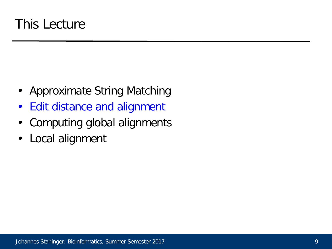- Approximate String Matching
- Edit distance and alignment
- Computing global alignments
- Local alignment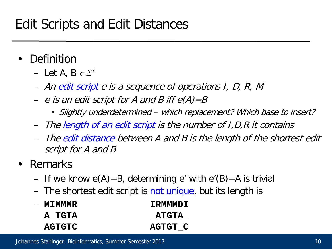- **Definition** 
	- Let A,  $B \in \Sigma^*$
	- An edit script e is a sequence of operations I, D, R, M
	- e is an edit script for A and B iff  $e(A)=B$ 
		- Slightly underdetermined which replacement? Which base to insert?
	- The length of an edit script is the number of I,D,R it contains
	- The edit distance between A and B is the length of the shortest edit script for A and B
- Remarks
	- If we know  $e(A)=B$ , determining e' with  $e'(B)=A$  is trivial
	- The shortest edit script is not unique, but its length is

| — MIMMMR      | TRMMMDT        |
|---------------|----------------|
| A TGTA        | <b>ATGTA</b>   |
| <b>AGTGTC</b> | <b>AGTGT C</b> |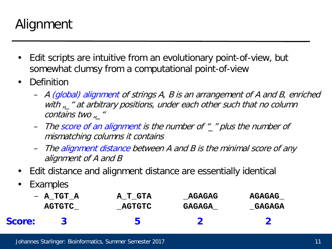## Alignment

- Edit scripts are intuitive from an evolutionary point-of-view, but somewhat clumsy from a computational point-of-view
- Definition
	- A (global) alignment of strings A, B is an arrangement of A and B, enriched with  $\mu$   $\mu$  at arbitrary positions, under each other such that no column contains two "\_"
	- The score of an alignment is the number of "\_" plus the number of mismatching columns it contains
	- The alignment distance between A and B is the minimal score of any alignment of A and B
- Edit distance and alignment distance are essentially identical
- **Examples**

|               | $-$ A TGT A   | A T GTA       | <b>AGAGAG</b> | <b>AGAGAG</b> |
|---------------|---------------|---------------|---------------|---------------|
|               | <b>AGTGTC</b> | <b>AGTGTC</b> | GAGAGA        | <b>GAGAGA</b> |
| <b>Score:</b> |               | 5             |               |               |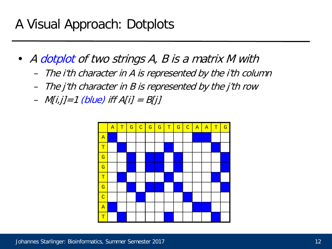## A Visual Approach: Dotplots

- A dotplot of two strings A, B is a matrix M with
	- The i'th character in A is represented by the i'th column
	- The j'th character in B is represented by the j'th row
	- $M[i,j]=1$  (blue) iff  $A[i] = B[i]$

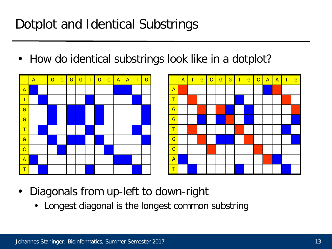## Dotplot and Identical Substrings

• How do identical substrings look like in a dotplot?





- Diagonals from up-left to down-right
	- Longest diagonal is the longest common substring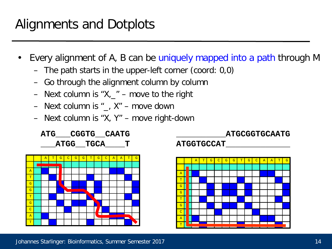- Every alignment of A, B can be uniquely mapped into a path through M
	- The path starts in the upper-left corner (coord: 0,0)
	- Go through the alignment column by column
	- Next column is " $X_{1}$ " move to the right
	- Next column is  $\mu$ ,  $X''$  move down
	- Next column is "X, Y" move right-down

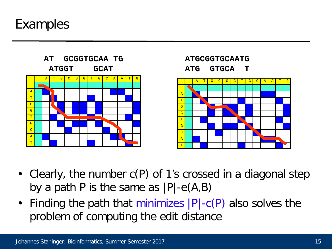#### Examples



- Clearly, the number c(P) of 1's crossed in a diagonal step by a path P is the same as  $|P|-e(A,B)$
- Finding the path that minimizes |P|-c(P) also solves the problem of computing the edit distance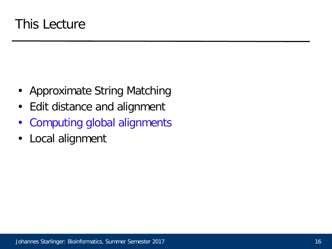- Approximate String Matching
- Edit distance and alignment
- Computing global alignments
- Local alignment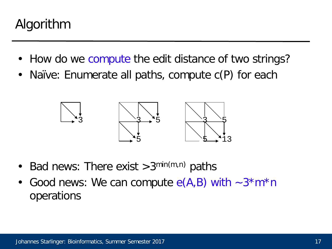## Algorithm

- How do we compute the edit distance of two strings?
- Naïve: Enumerate all paths, compute  $c(P)$  for each



- Bad news: There exist  $>3^{\min(m,n)}$  paths
- Good news: We can compute  $e(A,B)$  with  $\sim 3*m*n$ operations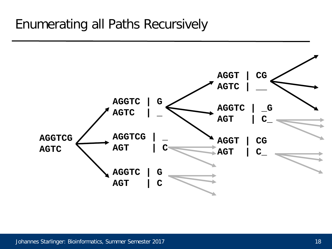## Enumerating all Paths Recursively

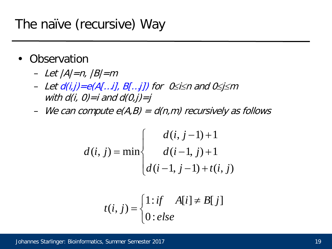## The naïve (recursive) Way

- **Observation** 
	- $-$  Let  $|A|=n$ ,  $|B|=m$
	- Let d(i,j)=e(A[…i], B[…j]) for 0≤i≤n and 0≤j<sup>≤</sup><sup>m</sup> with  $d(i, 0)=i$  and  $d(0,i)=i$
	- We can compute  $e(A,B) = d(n,m)$  recursively as follows

$$
d(i, j) = \min \begin{cases} d(i, j-1) + 1 \\ d(i-1, j) + 1 \\ d(i-1, j-1) + t(i, j) \end{cases}
$$

$$
t(i, j) = \begin{cases} 1:if \quad A[i] \neq B[j] \\ 0:else \end{cases}
$$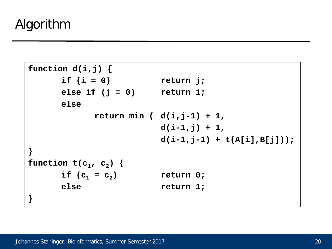```
function d(i,j) {
      if (i = 0) return j;
     else if (j = 0) return i;
     else
           return min ( d(i,j-1) + 1,
                       d(i-1,j) + 1,
                       d(i-1,j-1) + t(A[i],B[j]));
}
function t(c_1, c_2) {
      if (c_1 = c_2) return 0;
     else return 1;
}
```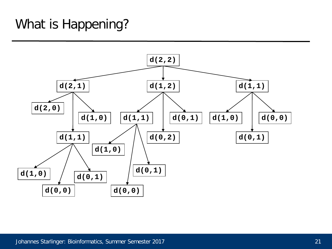## What is Happening?

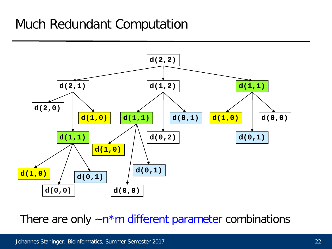## Much Redundant Computation



There are only  $-n*m$  different parameter combinations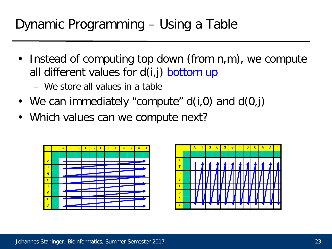- Instead of computing top down (from n,m), we compute all different values for d(i,j) bottom up
	- We store all values in a table
- We can immediately "compute"  $d(i,0)$  and  $d(0,i)$
- Which values can we compute next?



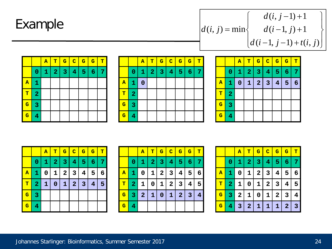### Example

 $\vert$  $\int$  $\vert$  $\left\{ \right.$  $\left| \right|$  $\overline{ }$  $\overline{\mathcal{L}}$  $\overline{\phantom{a}}$  $\left\{ \right.$  $\begin{bmatrix} \phantom{-} \end{bmatrix}$  $-1, j-1$  +  $-1, j$ ) +  $-1$ ) + =  $(i-1, j-1) + t(i, j)$  $(i-1, j) + 1$  $(i, j-1) + 1$  $(i, j)$  = min  $d(i-1, j-1) + t(i, j)$  $d(i-1, j)$  $d(i, j)$  $d(i, j)$ 

|                         |                         | $\mathbf{A}$ | T              | $\mathbf{G}$ | $\overline{\mathbf{C}}$ | $\mathbf{G}$ | $\mathbf{G}$    | T |
|-------------------------|-------------------------|--------------|----------------|--------------|-------------------------|--------------|-----------------|---|
|                         | $\bf{0}$                | 1            | $\overline{2}$ | 3            | $\overline{\mathbf{4}}$ | 5            | $6\phantom{1}6$ | 7 |
| $\mathbf{A}$            | 1                       |              |                |              |                         |              |                 |   |
| T                       | $\overline{\mathbf{2}}$ |              |                |              |                         |              |                 |   |
| $\overline{\mathbf{G}}$ | 3                       |              |                |              |                         |              |                 |   |
| $\overline{\mathbf{G}}$ | $\overline{\mathbf{4}}$ |              |                |              |                         |              |                 |   |

|                         |                         | $\mathbf{A}$ | T                       | $\overline{\mathbf{G}}$ | $\mathbf C$             | $\overline{\mathbf{G}}$ | $\overline{\mathbf{G}}$ | T |
|-------------------------|-------------------------|--------------|-------------------------|-------------------------|-------------------------|-------------------------|-------------------------|---|
|                         | 0                       | 1            | $\overline{\mathbf{2}}$ | 3                       | $\overline{\mathbf{4}}$ | 5                       | $\epsilon$              | 7 |
| $\overline{\mathbf{A}}$ | 1                       | $\bf{0}$     |                         |                         |                         |                         |                         |   |
| T                       | $\overline{\mathbf{2}}$ |              |                         |                         |                         |                         |                         |   |
| $\overline{\mathbf{G}}$ | 3                       |              |                         |                         |                         |                         |                         |   |
| $\overline{\mathbf{G}}$ | 4                       |              |                         |                         |                         |                         |                         |   |

|                         |                | $\overline{\mathbf{A}}$ | T              | $\mathbf{G}$            | $\overline{C}$ | $\mathbf{G}$   | $\mathbf{G}$        | $\mathbf{T}$ |
|-------------------------|----------------|-------------------------|----------------|-------------------------|----------------|----------------|---------------------|--------------|
|                         | 0              | 1                       | $\overline{2}$ | $\overline{\mathbf{3}}$ | $\overline{4}$ | 5 <sup>1</sup> | $\overline{6}$<br>4 | 7            |
| ${\bf A}$               | 1              | $\boldsymbol{0}$        | $\mathbf{1}$   | $\overline{2}$          | $\vert$ 3      | $\overline{4}$ | $5\phantom{1}$      | 6            |
| T                       | $\overline{2}$ |                         |                |                         |                |                |                     |              |
| $\overline{\mathbf{G}}$ | 3              |                         |                |                         |                |                |                     |              |
| $\overline{\mathbf{G}}$ | 4              |                         |                |                         |                |                |                     |              |

|                         |                | A | T                       | $\mathbf{G}$      | $\overline{C}$ | $\mathbf{G}$            | $\mathbf{G}$    | т |
|-------------------------|----------------|---|-------------------------|-------------------|----------------|-------------------------|-----------------|---|
|                         | 0              | 1 | $\overline{\mathbf{2}}$ | 3                 | 4              | 5                       | 6               | 7 |
| $\mathbf{A}$            | 1              | 0 | 1                       | $\mathbf{2}$<br>I | 3              | 4                       | $5\phantom{.0}$ | 6 |
| T                       | $\overline{2}$ | 1 | $\bf{0}$                | 1                 | 2              | $\overline{\mathbf{3}}$ | 4               | 5 |
| $\overline{\mathbf{G}}$ | 3              |   |                         |                   |                |                         |                 |   |
| $\mathbf G$             | 4              |   |                         |                   |                |                         |                 |   |

|                         |                | $\mathbf{A}$   | т              | $\mathbf{G}$ | $ {\bf c}^{\parallel} $ | $\mathbf{G}$   | $\mathbf G$             | т              |
|-------------------------|----------------|----------------|----------------|--------------|-------------------------|----------------|-------------------------|----------------|
|                         | 0              | 1              | $\overline{2}$ | 3            | $\overline{\mathbf{4}}$ | 5 <sup>5</sup> | $6\phantom{1}6$         | 7              |
| ${\bf A}$               | 1              | 0              | $1 \mid$       | 2            | $\overline{\mathbf{3}}$ | 4              | 5                       | 6              |
| т                       | $\overline{2}$ | 1              | 0              |              | $1 \mid 2 \mid$         | $\mathbf{3}$   | 4                       | 5              |
| $\mathbf{G}$            | 3              | $\overline{2}$ | $\mathbf{1}$   | $\mathbf{0}$ | $1\vert$                | 2              | $\overline{\mathbf{3}}$ | $\overline{4}$ |
| $\overline{\mathbf{G}}$ | 4              |                |                |              |                         |                |                         |                |

|                         |                | A            | т              | $\mathbf{G}$ | $ {\bf C} $                  | G                                       | $\mathbf{G}$   | т |
|-------------------------|----------------|--------------|----------------|--------------|------------------------------|-----------------------------------------|----------------|---|
|                         | 0              | 1            | $\overline{2}$ | 3            | 4                            | 5                                       | 6              | 7 |
| A                       | 1              | 0            | 1              | 2<br>I       | 3<br>$\mathbf l$             | 4<br>$\overline{\phantom{a}}$           | 5              | 6 |
| т                       | $\overline{2}$ | 1            | 0              | 1            | $\mathbf{2}$<br>$\mathbf{I}$ | 3<br>$\overline{\phantom{a}}$           | 4              | 5 |
| $\mathbf G$             | 3              | $\mathbf{2}$ | 1              | 0            | 1                            | $\overline{\phantom{a}}$<br>$\mathbf 2$ | 3              | 4 |
| $\overline{\mathbf{G}}$ | 4              | 3            | $\mathbf{2}$   | 1            | 1                            | 1                                       | $\overline{2}$ | 3 |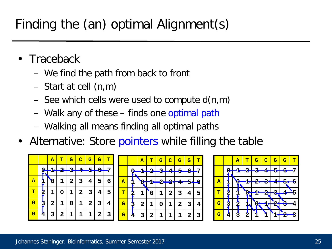## Finding the (an) optimal Alignment(s)

- **Traceback** 
	- We find the path from back to front
	- Start at cell (n,m)
	- See which cells were used to compute d(n,m)
	- Walk any of these finds one optimal path
	- Walking all means finding all optimal paths
- Alternative: Store pointers while filling the table

|                         |  |   |              |              | ${\bf A}$ | т | $\mathbf G$ | $\overline{\mathbf{C}}$ | $\overline{\mathbf{G}}$ | $\mathbf G$ | т |  |  |  |  |    |  |
|-------------------------|--|---|--------------|--------------|-----------|---|-------------|-------------------------|-------------------------|-------------|---|--|--|--|--|----|--|
|                         |  |   |              |              |           |   |             |                         |                         |             |   |  |  |  |  | မြ |  |
| $\overline{\mathbf{A}}$ |  |   |              |              | 0         | 1 | $\mathbf 2$ | 3                       | 4                       | 5           | 6 |  |  |  |  |    |  |
| т                       |  |   | 1            | 0            | 1         | 2 | 3           | 4                       | 5                       |             |   |  |  |  |  |    |  |
| G                       |  |   | $\mathbf{2}$ | 1            | 0         | 1 | 2           | 3                       | 4                       |             |   |  |  |  |  |    |  |
| G                       |  | 4 | 3            | $\mathbf{2}$ | 1         | 1 |             | $\mathbf{2}$            | 3                       |             |   |  |  |  |  |    |  |



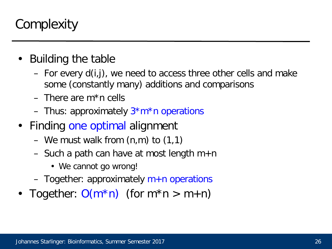## **Complexity**

- Building the table
	- For every d(i,j), we need to access three other cells and make some (constantly many) additions and comparisons
	- $-$  There are m<sup>\*</sup>n cells
	- Thus: approximately  $3*m*n$  operations
- Finding one optimal alignment
	- We must walk from (n,m) to (1,1)
	- Such a path can have at most length  $m+n$ 
		- We cannot go wrong!
	- $-$  Together: approximately  $m+n$  operations
- Together:  $O(m^*n)$  (for  $m^*n > m+n$ )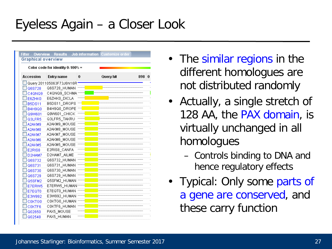## Eyeless Again – a Closer Look

| <b>Graphical overview</b> |                                  |   | Filter Overview Results Job information Customize order |  |
|---------------------------|----------------------------------|---|---------------------------------------------------------|--|
|                           | Color code for identity 0-100% = |   |                                                         |  |
| <b>Accession</b>          | <b>Entry name</b>                | 0 | Query hit<br>898                                        |  |
|                           | Query 201105063F73J6N16R         |   |                                                         |  |
| Q6S728                    | Q6S728_HUMAN                     |   |                                                         |  |
| C4QNQ9                    | C4QNQ9 SCHMA                     |   |                                                         |  |
| E6ZHK0                    | E6ZHK0_DICLA                     |   |                                                         |  |
| <b>B5DS11</b>             | B5DS11 DROPS                     |   |                                                         |  |
| <b>B4H9Q0</b>             | B4H9Q0_DROPE                     |   |                                                         |  |
| Q9W601                    | Q9W601_CHICK                     |   |                                                         |  |
| Q3LFR5                    | Q3LFR5_TAKRU                     |   |                                                         |  |
| A2AKM9                    | A2AKM9 MOUSE                     |   |                                                         |  |
| A2AKM8                    | A2AKM8 MOUSE                     |   |                                                         |  |
| A2AKM7                    | A2AKM7 MOUSE                     |   |                                                         |  |
| A2AKM6                    | A2AKM6 MOUSE                     |   |                                                         |  |
| A2AKM5                    | A2AKM5 MOUSE                     |   |                                                         |  |
| E2RIS8                    | E2RIS8 CANFA                     |   |                                                         |  |
| D2HAM7                    | D2HAM7 AILME                     |   |                                                         |  |
| Q6S732                    | Q6S732 HUMAN                     |   |                                                         |  |
| Q6S731                    | Q6S731 HUMAN                     |   |                                                         |  |
| Q6S730                    | Q6S730_HUMAN                     |   |                                                         |  |
| Q6S729                    | Q6S729 HUMAN                     |   |                                                         |  |
| Q5SFM2                    | Q5SFM2 HUMAN                     |   |                                                         |  |
| E7ERW5                    | E7ERW5_HUMAN                     |   |                                                         |  |
| E7EQT0                    | E7EQT0 HUMAN                     |   |                                                         |  |
| E3W992                    | E3W992 HUMAN                     |   |                                                         |  |
| COKTGO                    | COKTGO HUMAN                     |   |                                                         |  |
| COKTF6                    | COKTF6 HUMAN                     |   |                                                         |  |
| Q02650                    | PAX5 MOUSE                       |   |                                                         |  |
| Q02548                    | PAX5 HUMAN                       |   |                                                         |  |

- The similar regions in the different homologues are not distributed randomly
- Actually, a single stretch of 128 AA, the PAX domain, is virtually unchanged in all homologues
	- Controls binding to DNA and hence regulatory effects
- Typical: Only some parts of a gene are conserved, and these carry function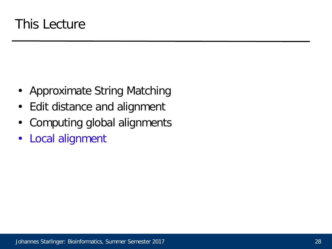- Approximate String Matching
- Edit distance and alignment
- Computing global alignments
- Local alignment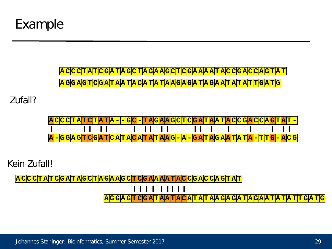

<u>ACCCTATCGATAGCTAGAAGCTCGAAAATACCGACCACCAGTAT</u> **A G G A G T C G A T A A T A C A T A T A A G A G A T A G A A T A T A T T G A T G**

Zufall?

| <mark>ACCCTATCTATA--GC-TAGAAGCTCGATAATACCGACCACAFA</mark> |  |  |  |  |  |  |  |  |  |  |  |  |
|-----------------------------------------------------------|--|--|--|--|--|--|--|--|--|--|--|--|
|                                                           |  |  |  |  |  |  |  |  |  |  |  |  |
| <u>A-GGAGTCGATCATACATATAATAG-A-GATAGAATATA-TA-TA-TACA</u> |  |  |  |  |  |  |  |  |  |  |  |  |

Kein Zufall!

<u>|ACCCTATCGATACCTAGCTAGAAGCTCGAAAATACCGACCACACTA</u>

 $11111$ 

**A G G A G T C G A T A A T A C A T A T A A G A G A T A G A A T A T A T T G A T G**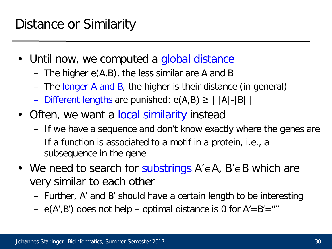- Until now, we computed a global distance
	- The higher e(A,B), the less similar are A and B
	- The longer A and B, the higher is their distance (in general)
	- Different lengths are punished:  $e(A,B) \ge | |A|-|B| |$
- Often, we want a local similarity instead
	- If we have a sequence and don't know exactly where the genes are
	- If a function is associated to a motif in a protein, i.e., a subsequence in the gene
- We need to search for substrings  $A' \in A$ ,  $B' \in B$  which are very similar to each other
	- Further, A' and B' should have a certain length to be interesting
	- $e(A', B')$  does not help optimal distance is 0 for  $A' = B' =$  "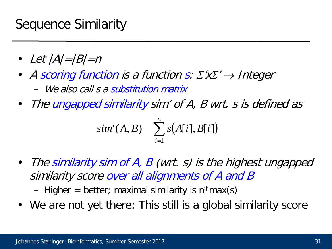### Sequence Similarity

- Let  $|A|=|B|=n$
- A scoring function is a function s:  $\Sigma'$ x $\Sigma' \rightarrow$  Integer – We also call s a substitution matrix
- The ungapped similarity sim' of A, B wrt. s is defined as

$$
sim'(A, B) = \sum_{i=1}^{n} s(A[i], B[i])
$$

• The similarity sim of A, B (wrt. s) is the highest ungapped similarity score over all alignments of A and B

– Higher = better; maximal similarity is  $n*max(s)$ 

• We are not yet there: This still is a global similarity score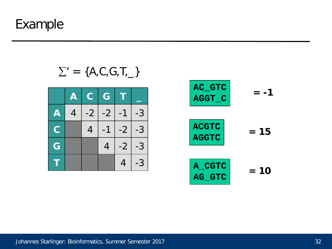Example

 $\Sigma' = \{A, C, G, T, \_\}$ 

|                           | $\mathbf{\Phi}$ | $\mathbf{C}$   | $\bigodot$ | Τ    |      |
|---------------------------|-----------------|----------------|------------|------|------|
| $\boldsymbol{\mathsf{A}}$ | 4               | $-2$           | $-2$       | $-1$ | $-3$ |
| $\overline{C}$            |                 | $\overline{4}$ | $-1$       | $-2$ | $-3$ |
| G                         |                 |                | 4          | $-2$ | $-3$ |
|                           |                 |                |            |      | $-3$ |

| AC_GTC<br>AGGT_C             |        |
|------------------------------|--------|
| <b>ACGTC</b><br><b>AGGTC</b> | $= 15$ |
| A CGTC<br>AG GTC             | $= 10$ |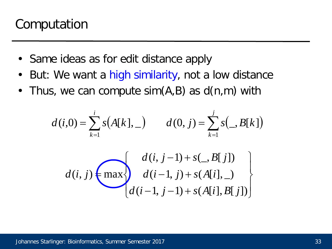## Computation

- Same ideas as for edit distance apply
- But: We want a high similarity, not a low distance
- Thus, we can compute  $sim(A,B)$  as  $d(n,m)$  with

$$
d(i,0) = \sum_{k=1}^{i} s(A[k], -) \qquad d(0, j) = \sum_{k=1}^{j} s(-, B[k])
$$

$$
d(i, j) = \max \{ d(i, j-1) + s(-, B[j]) \}
$$

$$
d(i-1, j) + s(A[i], -)
$$

$$
d(i-1, j-1) + s(A[i], B[j])
$$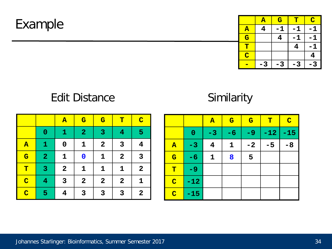Example

|                         | $\mathbf{A}$ | $\overline{\mathbf{G}}$ | Т   | $\mathbf C$ |
|-------------------------|--------------|-------------------------|-----|-------------|
| ${\bf A}$               | 4            |                         | -1  |             |
| $\overline{\mathbf{G}}$ |              |                         |     |             |
| $\overline{\mathbf{T}}$ |              |                         |     |             |
| $\overline{\mathbf{C}}$ |              |                         |     |             |
|                         |              |                         | - 3 |             |

#### Edit Distance

#### **Similarity**

|                         |                         | $\overline{\mathbf{A}}$ | $\overline{\mathbf{G}}$ | $\overline{\mathbf{G}}$ | $\mathbf T$    | $\overline{\mathbf{C}}$ |
|-------------------------|-------------------------|-------------------------|-------------------------|-------------------------|----------------|-------------------------|
|                         | $\bf{0}$                | $\mathbf{1}$            | $\overline{2}$          | 3                       | $\overline{4}$ | $5\phantom{1}$          |
| $\overline{\mathbf{A}}$ | $\mathbf{1}$            | $\mathbf 0$             | $\mathbf{1}$            | $\mathbf{2}$            | 3              | $\overline{\mathbf{4}}$ |
| $\overline{\mathbf{G}}$ | $\overline{\mathbf{2}}$ | $\mathbf{1}$            | $\mathbf 0$             | $\mathbf{1}$            | $\mathbf{2}$   | $\overline{\mathbf{3}}$ |
| T                       | $\overline{3}$          | $\mathbf{2}$            | $\mathbf 1$             | $\mathbf 1$             | $\mathbf 1$    | $\mathbf{2}$            |
| $\overline{C}$          | $\overline{4}$          | $\mathbf{3}$            | $\mathbf{2}$            | $\mathbf{2}$            | $\mathbf{2}$   | $\mathbf 1$             |
| $\overline{\mathbf{C}}$ | 5                       | 4                       | $\overline{\mathbf{3}}$ | 3                       | 3              | $\boldsymbol{2}$        |

|                         |          | $\mathbf{A}$            | $\mathbf{G}$ | $\overline{\mathbf{G}}$ | $\mathbf T$ | $\overline{C}$ |
|-------------------------|----------|-------------------------|--------------|-------------------------|-------------|----------------|
|                         | $\bf{0}$ | $-3$                    | $-6$         | -9                      | $-12$       | $-15$          |
| $\mathbf{A}$            | $-3$     | $\overline{\mathbf{4}}$ | $\mathbf 1$  | $-2$                    | $-5$        | $-8$           |
| $\mathbf G$             | $-6$     | $\mathbf 1$             | 8            | 5                       |             |                |
| $\mathbf T$             | -9       |                         |              |                         |             |                |
| $\overline{\mathbf{C}}$ | $-12$    |                         |              |                         |             |                |
| $\overline{\mathbf{C}}$ | $-15$    |                         |              |                         |             |                |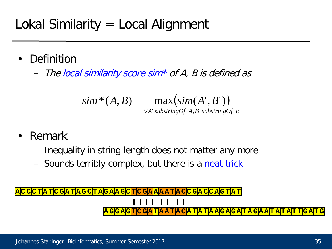- **Definition** 
	- The local similarity score sim\* of A, B is defined as

$$
sim^*(A, B) = \max(\text{sim}(A', B'))
$$
  

$$
\forall A' \text{substringOf } A, B' \text{substringOf } B
$$

- Remark
	- Inequality in string length does not matter any more
	- Sounds terribly complex, but there is a neat trick

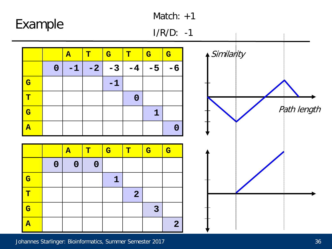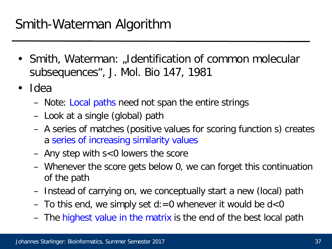- Smith, Waterman: "Identification of common molecular subsequences", J. Mol. Bio 147, 1981
- Idea
	- Note: Local paths need not span the entire strings
	- Look at a single (global) path
	- A series of matches (positive values for scoring function s) creates a series of increasing similarity values
	- Any step with s<0 lowers the score
	- Whenever the score gets below 0, we can forget this continuation of the path
	- Instead of carrying on, we conceptually start a new (local) path
	- To this end, we simply set  $d := 0$  whenever it would be  $d < 0$
	- The highest value in the matrix is the end of the best local path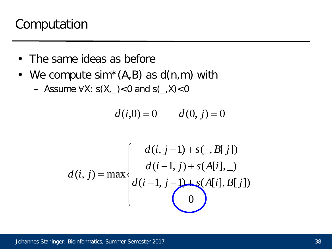### Computation

- The same ideas as before
- We compute  $sim^*(A,B)$  as  $d(n,m)$  with
	- Assume ∀X:  $s(X, )$  <0 and  $s( , X)$  <0

$$
d(i,0) = 0 \qquad d(0,j) = 0
$$

$$
d(i, j) = \max \begin{cases} d(i, j-1) + s(., B[j]) \\ d(i-1, j) + s(A[i], \_) \\ d(i-1, j-1) + s(A[i], B[j]) \\ 0 \end{cases}
$$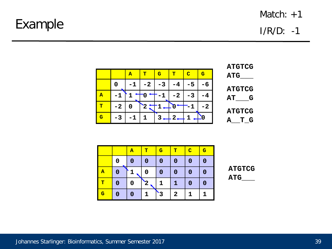#### Example

I/R/D: -1

|   |      | $\overline{\mathbf{A}}$ | $\mathbf{T}$ | $\mathbf{G}$ | $\mathbf{T}$ | $\bullet$ | $\mathbf G$ |
|---|------|-------------------------|--------------|--------------|--------------|-----------|-------------|
|   |      | $-1$                    | $-2$         | $-3$         | $-4$         | $-5$      |             |
| Α |      |                         |              |              | $-2$         | $-3$      |             |
| т | $-2$ |                         | $\bf{2}$     |              |              |           | -2          |
| G | -3   | $-1$                    |              |              | 2            |           |             |



|                         |   | $\overline{\mathbf{A}}$ | т            | $\mathbf{G}$ | т            | $\overline{\mathbf{C}}$ | $\mathbf G$ |
|-------------------------|---|-------------------------|--------------|--------------|--------------|-------------------------|-------------|
|                         | 0 | 0                       | $\bf{0}$     | 0            | $\bf{0}$     | 0                       | 0           |
| $\overline{\mathbf{A}}$ | 0 |                         | 0            | 0            | 0            | 0                       | 0           |
| т                       | 0 | 0                       | $\mathbf{2}$ | 1            | $\mathbf{1}$ | $\bf{0}$                | 0           |
| $\overline{\mathbf{G}}$ | 0 | 0                       |              |              | $\mathbf{2}$ | 1                       | 1           |

**ATGTCG ATG\_\_\_**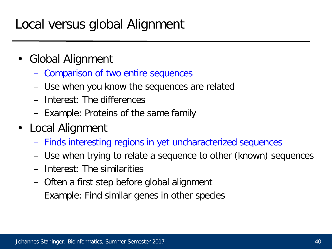## Local versus global Alignment

- Global Alignment
	- Comparison of two entire sequences
	- Use when you know the sequences are related
	- Interest: The differences
	- Example: Proteins of the same family
- Local Alignment
	- Finds interesting regions in yet uncharacterized sequences
	- Use when trying to relate a sequence to other (known) sequences
	- Interest: The similarities
	- Often a first step before global alignment
	- Example: Find similar genes in other species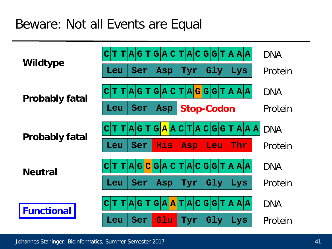### Beware: Not all Events are Equal